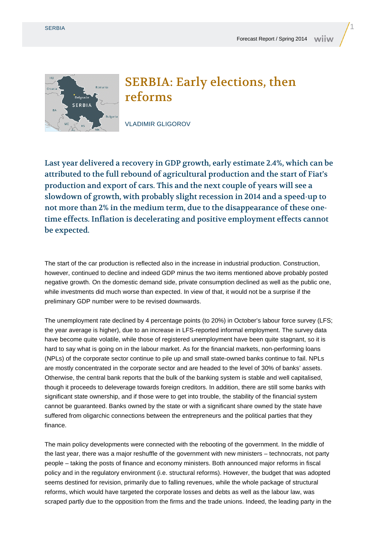

## SERBIA: Early elections, then reforms

VLADIMIR GLIGOROV

Last year delivered a recovery in GDP growth, early estimate 2.4%, which can be attributed to the full rebound of agricultural production and the start of Fiat's production and export of cars. This and the next couple of years will see a slowdown of growth, with probably slight recession in 2014 and a speed-up to not more than 2% in the medium term, due to the disappearance of these onetime effects. Inflation is decelerating and positive employment effects cannot be expected.

The start of the car production is reflected also in the increase in industrial production. Construction, however, continued to decline and indeed GDP minus the two items mentioned above probably posted negative growth. On the domestic demand side, private consumption declined as well as the public one, while investments did much worse than expected. In view of that, it would not be a surprise if the preliminary GDP number were to be revised downwards.

The unemployment rate declined by 4 percentage points (to 20%) in October's labour force survey (LFS; the year average is higher), due to an increase in LFS-reported informal employment. The survey data have become quite volatile, while those of registered unemployment have been quite stagnant, so it is hard to say what is going on in the labour market. As for the financial markets, non-performing loans (NPLs) of the corporate sector continue to pile up and small state-owned banks continue to fail. NPLs are mostly concentrated in the corporate sector and are headed to the level of 30% of banks' assets. Otherwise, the central bank reports that the bulk of the banking system is stable and well capitalised, though it proceeds to deleverage towards foreign creditors. In addition, there are still some banks with significant state ownership, and if those were to get into trouble, the stability of the financial system cannot be guaranteed. Banks owned by the state or with a significant share owned by the state have suffered from oligarchic connections between the entrepreneurs and the political parties that they finance.

The main policy developments were connected with the rebooting of the government. In the middle of the last year, there was a major reshuffle of the government with new ministers – technocrats, not party people – taking the posts of finance and economy ministers. Both announced major reforms in fiscal policy and in the regulatory environment (i.e. structural reforms). However, the budget that was adopted seems destined for revision, primarily due to falling revenues, while the whole package of structural reforms, which would have targeted the corporate losses and debts as well as the labour law, was scraped partly due to the opposition from the firms and the trade unions. Indeed, the leading party in the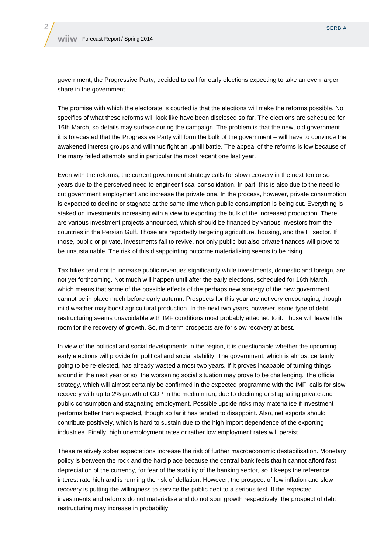government, the Progressive Party, decided to call for early elections expecting to take an even larger share in the government.

The promise with which the electorate is courted is that the elections will make the reforms possible. No specifics of what these reforms will look like have been disclosed so far. The elections are scheduled for 16th March, so details may surface during the campaign. The problem is that the new, old government – it is forecasted that the Progressive Party will form the bulk of the government – will have to convince the awakened interest groups and will thus fight an uphill battle. The appeal of the reforms is low because of the many failed attempts and in particular the most recent one last year.

Even with the reforms, the current government strategy calls for slow recovery in the next ten or so years due to the perceived need to engineer fiscal consolidation. In part, this is also due to the need to cut government employment and increase the private one. In the process, however, private consumption is expected to decline or stagnate at the same time when public consumption is being cut. Everything is staked on investments increasing with a view to exporting the bulk of the increased production. There are various investment projects announced, which should be financed by various investors from the countries in the Persian Gulf. Those are reportedly targeting agriculture, housing, and the IT sector. If those, public or private, investments fail to revive, not only public but also private finances will prove to be unsustainable. The risk of this disappointing outcome materialising seems to be rising.

Tax hikes tend not to increase public revenues significantly while investments, domestic and foreign, are not yet forthcoming. Not much will happen until after the early elections, scheduled for 16th March, which means that some of the possible effects of the perhaps new strategy of the new government cannot be in place much before early autumn. Prospects for this year are not very encouraging, though mild weather may boost agricultural production. In the next two years, however, some type of debt restructuring seems unavoidable with IMF conditions most probably attached to it. Those will leave little room for the recovery of growth. So, mid-term prospects are for slow recovery at best.

In view of the political and social developments in the region, it is questionable whether the upcoming early elections will provide for political and social stability. The government, which is almost certainly going to be re-elected, has already wasted almost two years. If it proves incapable of turning things around in the next year or so, the worsening social situation may prove to be challenging. The official strategy, which will almost certainly be confirmed in the expected programme with the IMF, calls for slow recovery with up to 2% growth of GDP in the medium run, due to declining or stagnating private and public consumption and stagnating employment. Possible upside risks may materialise if investment performs better than expected, though so far it has tended to disappoint. Also, net exports should contribute positively, which is hard to sustain due to the high import dependence of the exporting industries. Finally, high unemployment rates or rather low employment rates will persist.

These relatively sober expectations increase the risk of further macroeconomic destabilisation. Monetary policy is between the rock and the hard place because the central bank feels that it cannot afford fast depreciation of the currency, for fear of the stability of the banking sector, so it keeps the reference interest rate high and is running the risk of deflation. However, the prospect of low inflation and slow recovery is putting the willingness to service the public debt to a serious test. If the expected investments and reforms do not materialise and do not spur growth respectively, the prospect of debt restructuring may increase in probability.